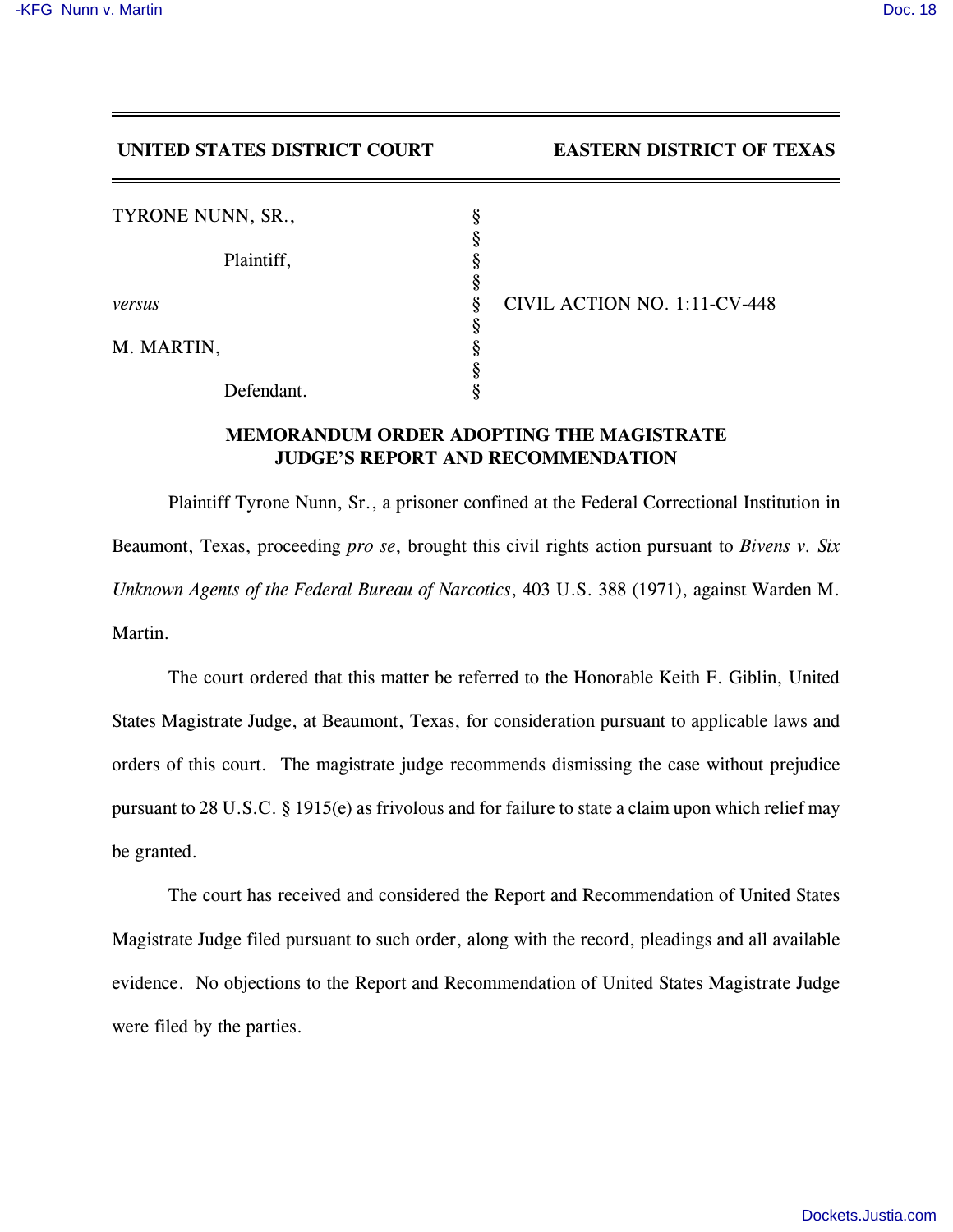## **UNITED STATES DISTRICT COURT EASTERN DISTRICT OF TEXAS**

| TYRONE NUNN, SR., | §      |
|-------------------|--------|
| Plaintiff,        | §<br>§ |
| versus            | §<br>§ |
| M. MARTIN,        | §<br>§ |
| Defendant.        | §      |

*versus* § CIVIL ACTION NO. 1:11-CV-448

## **MEMORANDUM ORDER ADOPTING THE MAGISTRATE JUDGE'S REPORT AND RECOMMENDATION**

Plaintiff Tyrone Nunn, Sr., a prisoner confined at the Federal Correctional Institution in Beaumont, Texas, proceeding *pro se*, brought this civil rights action pursuant to *Bivens v. Six Unknown Agents of the Federal Bureau of Narcotics*, 403 U.S. 388 (1971), against Warden M. Martin.

The court ordered that this matter be referred to the Honorable Keith F. Giblin, United States Magistrate Judge, at Beaumont, Texas, for consideration pursuant to applicable laws and orders of this court. The magistrate judge recommends dismissing the case without prejudice pursuant to 28 U.S.C. § 1915(e) as frivolous and for failure to state a claim upon which relief may be granted.

The court has received and considered the Report and Recommendation of United States Magistrate Judge filed pursuant to such order, along with the record, pleadings and all available evidence. No objections to the Report and Recommendation of United States Magistrate Judge were filed by the parties.